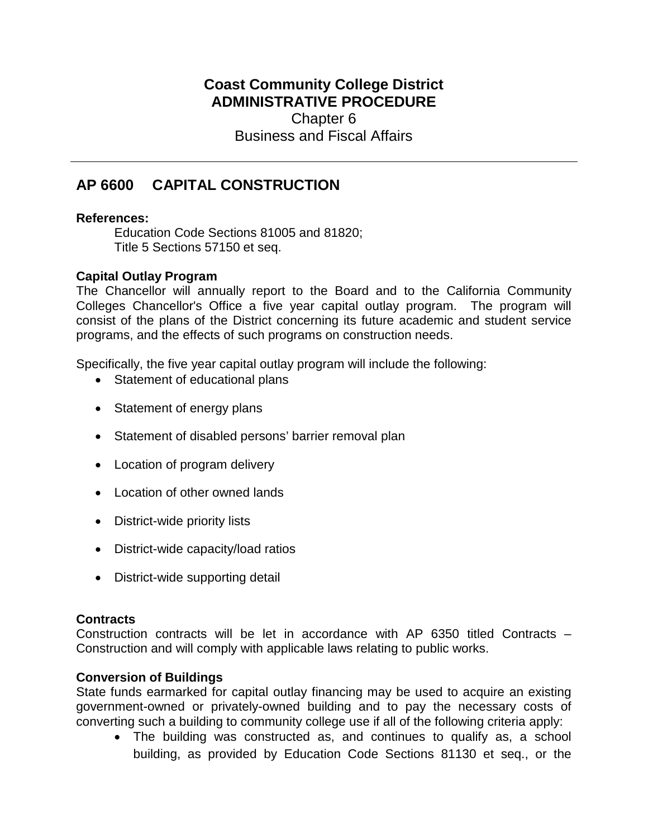## **Coast Community College District ADMINISTRATIVE PROCEDURE** Chapter 6 Business and Fiscal Affairs

# **AP 6600 CAPITAL CONSTRUCTION**

### **References:**

Education Code Sections 81005 and 81820; Title 5 Sections 57150 et seq.

### **Capital Outlay Program**

The Chancellor will annually report to the Board and to the California Community Colleges Chancellor's Office a five year capital outlay program. The program will consist of the plans of the District concerning its future academic and student service programs, and the effects of such programs on construction needs.

Specifically, the five year capital outlay program will include the following:

- Statement of educational plans
- Statement of energy plans
- Statement of disabled persons' barrier removal plan
- Location of program delivery
- Location of other owned lands
- District-wide priority lists
- District-wide capacity/load ratios
- District-wide supporting detail

### **Contracts**

Construction contracts will be let in accordance with AP 6350 titled Contracts – Construction and will comply with applicable laws relating to public works.

### **Conversion of Buildings**

State funds earmarked for capital outlay financing may be used to acquire an existing government-owned or privately-owned building and to pay the necessary costs of converting such a building to community college use if all of the following criteria apply:

• The building was constructed as, and continues to qualify as, a school building, as provided by Education Code Sections 81130 et seq., or the